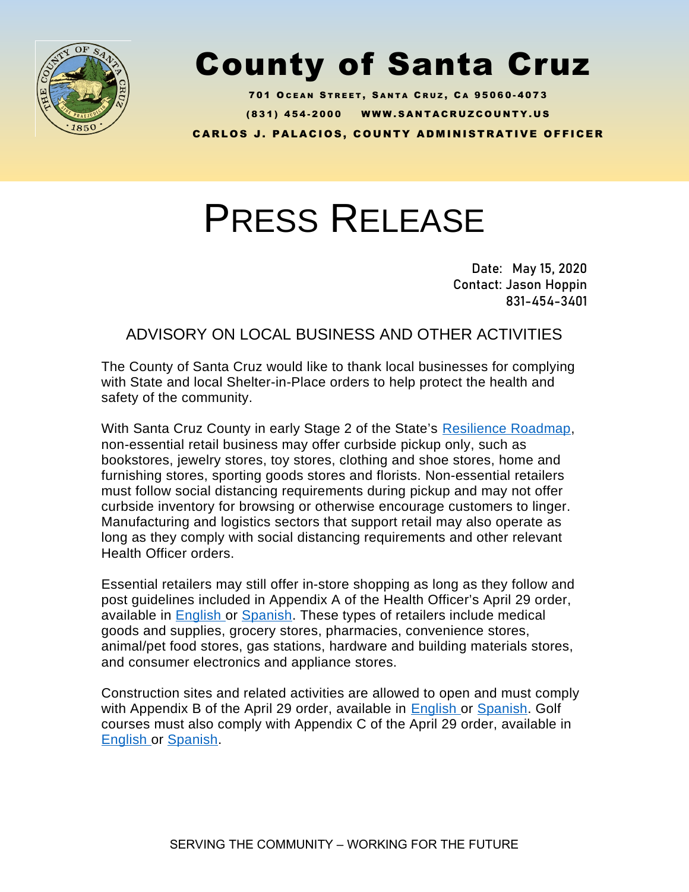

## County of Santa Cruz

701 OCEAN STREET, SANTA CRUZ, CA 95060-4073 ( 8 3 1 ) 4 5 4 - 2 0 0 0 W W W . S A N T A C R U Z C O U N T Y . U S **CARLOS J. PALACIOS, COUNTY ADMINISTRATIVE OFFICER** 

## PRESS RELEASE

Date: May 15, 2020 Contact: Jason Hoppin 831-454-3401

ADVISORY ON LOCAL BUSINESS AND OTHER ACTIVITIES

The County of Santa Cruz would like to thank local businesses for complying with State and local Shelter-in-Place orders to help protect the health and safety of the community.

With Santa Cruz County in early Stage 2 of the State's [Resilience Roadmap,](https://covid19.ca.gov/roadmap) non-essential retail business may offer curbside pickup only, such as bookstores, jewelry stores, toy stores, clothing and shoe stores, home and furnishing stores, sporting goods stores and florists. Non-essential retailers must follow social distancing requirements during pickup and may not offer curbside inventory for browsing or otherwise encourage customers to linger. Manufacturing and logistics sectors that support retail may also operate as long as they comply with social distancing requirements and other relevant Health Officer orders.

Essential retailers may still offer in-store shopping as long as they follow and post guidelines included in Appendix A of the Health Officer's April 29 order, available in [English](https://www.santacruzhealth.org/Portals/7/Pdfs/Coronavirus/Appendix-A-Social-Distancing-Protocol%20March%2031%202020%20FINAL.pdf) or [Spanish.](https://www.santacruzhealth.org/Portals/7/Pdfs/Coronavirus/Appendix%20A%20-%20Social%20Distancing%20Protocol%20-%20Spanish%20(1).pdf) These types of retailers include medical goods and supplies, grocery stores, pharmacies, convenience stores, animal/pet food stores, gas stations, hardware and building materials stores, and consumer electronics and appliance stores.

Construction sites and related activities are allowed to open and must comply with Appendix B of the April 29 order, available in [English o](https://www.santacruzhealth.org/Portals/7/Pdfs/Coronavirus/Appendix%20B%20-%20Construction%20Site%20Requirements.pdf?v=050120)r [Spanish](https://www.santacruzhealth.org/Portals/7/Pdfs/Coronavirus/Appendix%20B-Construction%20Site%20Requirementsz-Spanish_Final.pdf). Golf courses must also comply with Appendix C of the April 29 order, available in [English](https://www.santacruzhealth.org/Portals/7/Pdfs/Coronavirus/Appendix%20C%20-%20Golf%20Course%20Requirements.pdf) or [Spanish.](https://www.santacruzhealth.org/Portals/7/Pdfs/Coronavirus/Appendix%20C%20Golf%20Site%20Requirements-%20Spanish_Final.pdf)